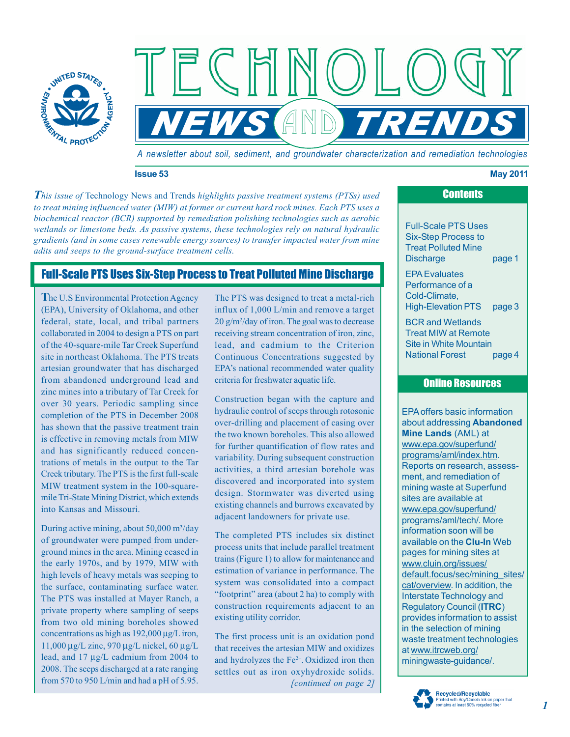

*A newsletter about soil, sediment, and groundwater characterization and remediation technologies* 

 $\mathbb{N}$   $((\ )$ 

 $IS$  (AND)  $TR$ 

#### **Issue 53 May 2011**

*This issue of Technology News and Trends highlights passive treatment systems (PTSs) used to treat mining influenced water (MIW) at former or current hard rock mines. Each PTS uses a biochemical reactor (BCR) supported by remediation polishing technologies such as aerobic wetlands or limestone beds. As passive systems, these technologies rely on natural hydraulic gradients (and in some cases renewable energy sources) to transfer impacted water from mine adits and seeps to the ground-surface treatment cells.* 

ECHI

# Full-Scale PTS Uses Six-Step Process to Treat Polluted Mine Discharge

**T**he U.S Environmental Protection Agency The PTS was designed to treat a metal-rich federal, state, local, and tribal partners from abandoned underground lead and criteria for freshwater aquatic life. Exerced the Minimage intent of Tarly and the Construction began with the capture and<br>
completion of the PTS in December 2008<br>
has shown that the passive treatment train<br>
in the word over-drilling and placement of casing ov

2008. The seeps discharged at a rate ranging During active mining, about 50,000 m<sup>3</sup>/day<br>of groundwater were pumped from under-<br>ground mines in the area. Mining ceased in<br>the early 1970s, and by 1979, MIW with<br>trains (Figure 1) to allow for maintenance and<br>high level concentrations as high as 192,000 μg/L iron, The first process unit is an oxidation pond 11,000 μg/L zinc, 970 μg/L nickel, 60 μg/L that receives the artesian MIW and oxidizes 11,000 μg/L zinc, 970 μg/L nickel, 60 μg/L<br>that receives the artesian MIW and oxidizes<br>lead, and 17 μg/L cadmium from 2004 to<br>and hydrolyzes the  $Fe^{2+}$  Oxidized iron then

 $(EPA)$ , University of Oklahoma, and other influx of 1,000 L/min and remove a target  $20$  g/m<sup>2</sup>/day of iron. The goal was to decrease collaborated in 2004 to design a PTS on part receiving stream concentration of iron, zinc, of the 40-square-mile Tar Creek Superfund lead, and cadmium to the Criterion site in northeast Oklahoma. The PTS treats Continuous Concentrations suggested by artesian groundwater that has discharged EPA's national recommended water quality

adjacent landowners for private use.

and hydrolyzes the Fe<sup>2+</sup>. Oxidized iron then settles out as iron oxyhydroxide solids. from 570 to 950 L/min and had a pH of 5.95. *[continued on page 2]* 

Full-Scale PTS Uses Six-Step Process to Treat Polluted Mine Discharge page 1 EPA Evaluates Performance of a Cold-Climate, High-Elevation PTS page 3 BCR and Wetlands Treat MIW at Remote Site in White Mountain National Forest page 4

**Contents** 

#### Online Resources

EPA offers basic information about addressing **Abandoned Mine Lands** (AML) at [www.epa.gov/superfund/](http://www.epa.gov/superfund/programs/aml/index.htm)  [programs/aml/index.htm.](http://www.epa.gov/superfund/programs/aml/index.htm)  Reports on research, assessment, and remediation of mining waste at Superfund sites are available at [www.epa.gov/superfund/](http://www.epa.gov/superfund/programs/aml/tech/)  [programs/aml/tech/. M](http://www.epa.gov/superfund/programs/aml/tech/)ore information soon will be available on the **Clu-In** Web pages for mining sites at [www.cluin.org/issues/](http://cluin.org/issues/default.focus/sec/Characterization,_Cleanup,_and_Revitalization_of_Abandoned_Mining_Sites/cat/Overview/)  [default.focus/sec/mining\\_sites/](http://cluin.org/issues/default.focus/sec/Characterization,_Cleanup,_and_Revitalization_of_Abandoned_Mining_Sites/cat/Overview/)  [cat/overview.](http://cluin.org/issues/default.focus/sec/Characterization,_Cleanup,_and_Revitalization_of_Abandoned_Mining_Sites/cat/Overview/) In addition, the Interstate Technology and Regulatory Council (**ITRC**) provides information to assist in the selection of mining waste treatment technologies at [www.itrcweb.org/](http://www.itrcweb.org/miningwaste-guidance/)  [miningwaste-guidance/.](http://www.itrcweb.org/miningwaste-guidance/) 

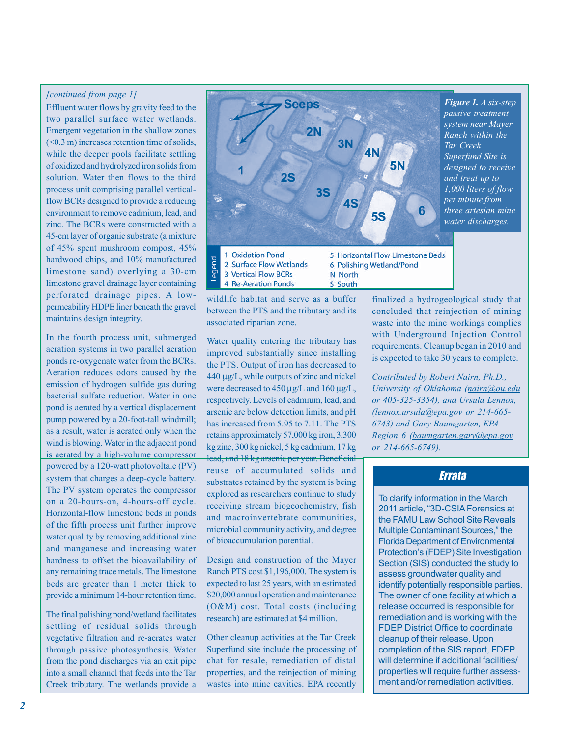#### *[continued from page 1]*

Effluent water flows by gravity feed to the two parallel surface water wetlands. Emergent vegetation in the shallow zones  $( $0.3 \text{ m}$ ) increases retention time of solids,$ while the deeper pools facilitate settling of oxidized and hydrolyzed iron solids from solution. Water then flows to the third process unit comprising parallel verticalflow BCRs designed to provide a reducing environment to remove cadmium, lead, and zinc. The BCRs were constructed with a 45-cm layer of organic substrate (a mixture of 45% spent mushroom compost, 45% hardwood chips, and 10% manufactured limestone sand) overlying a 30-cm limestone gravel drainage layer containing perforated drainage pipes. A lowpermeability HDPE liner beneath the gravel maintains design integrity.

In the fourth process unit, submerged aeration systems in two parallel aeration ponds re-oxygenate water from the BCRs. Aeration reduces odors caused by the emission of hydrogen sulfide gas during bacterial sulfate reduction. Water in one pond is aerated by a vertical displacement pump powered by a 20-foot-tall windmill; as a result, water is aerated only when the wind is blowing. Water in the adjacent pond is aerated by a high-volume compressor powered by a 120-watt photovoltaic (PV) system that charges a deep-cycle battery. The PV system operates the compressor on a 20-hours-on, 4-hours-off cycle. Horizontal-flow limestone beds in ponds of the fifth process unit further improve water quality by removing additional zinc and manganese and increasing water hardness to offset the bioavailability of any remaining trace metals. The limestone beds are greater than 1 meter thick to provide a minimum 14-hour retention time.

The final polishing pond/wetland facilitates settling of residual solids through vegetative filtration and re-aerates water through passive photosynthesis. Water from the pond discharges via an exit pipe into a small channel that feeds into the Tar Creek tributary. The wetlands provide a



wildlife habitat and serve as a buffer between the PTS and the tributary and its associated riparian zone.

Water quality entering the tributary has improved substantially since installing the PTS. Output of iron has decreased to 440 μg/L, while outputs of zinc and nickel were decreased to 450 μg/L and 160 μg/L, respectively. Levels of cadmium, lead, and arsenic are below detection limits, and pH has increased from 5.95 to 7.11. The PTS retains approximately 57,000 kg iron, 3,300 kg zinc, 300 kg nickel, 5 kg cadmium, 17 kg lead, and 18 kg arsenic per year. Beneficial reuse of accumulated solids and substrates retained by the system is being explored as researchers continue to study receiving stream biogeochemistry, fish and macroinvertebrate communities, microbial community activity, and degree of bioaccumulation potential.

Design and construction of the Mayer Ranch PTS cost \$1,196,000. The system is expected to last 25 years, with an estimated \$20,000 annual operation and maintenance (O&M) cost. Total costs (including research) are estimated at \$4 million.

Other cleanup activities at the Tar Creek Superfund site include the processing of chat for resale, remediation of distal properties, and the reinjection of mining wastes into mine cavities. EPA recently

finalized a hydrogeological study that concluded that reinjection of mining waste into the mine workings complies with Underground Injection Control requirements. Cleanup began in 2010 and is expected to take 30 years to complete.

*Contributed by Robert Nairn, Ph.D., University of Oklahoma (nairn@ou.edu or 405-325-3354), and Ursula Lennox, [\(lennox.ursula@epa.gov](mailto:lennox.ursula@epa.gov) or 214-665- 6743) and Gary Baumgarten, EPA Region 6 [\(baumgarten.gary@epa.gov](mailto:baumgarten.gary@epa.gov)  or 214-665-6749).* 

### Errata

To clarify information in the March 2011 article, "3D-CSIA Forensics at the FAMU Law School Site Reveals Multiple Contaminant Sources," the Florida Department of Environmental Protection's (FDEP) Site Investigation Section (SIS) conducted the study to assess groundwater quality and identify potentially responsible parties. The owner of one facility at which a release occurred is responsible for remediation and is working with the FDEP District Office to coordinate cleanup of their release. Upon completion of the SIS report, FDEP will determine if additional facilities/ properties will require further assessment and/or remediation activities.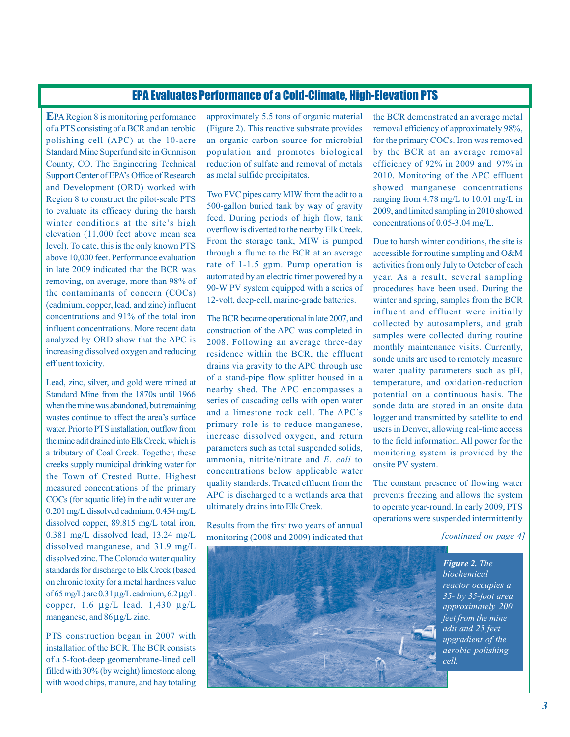# EPA Evaluates Performance of a Cold-Climate, High-Elevation PTS

**E**PA Region 8 is monitoring performance of a PTS consisting of a BCR and an aerobic polishing cell (APC) at the 10-acre Standard Mine Superfund site in Gunnison County, CO. The Engineering Technical Support Center of EPA's Office of Research and Development (ORD) worked with Region 8 to construct the pilot-scale PTS to evaluate its efficacy during the harsh winter conditions at the site's high elevation (11,000 feet above mean sea level). To date, this is the only known PTS above 10,000 feet. Performance evaluation in late 2009 indicated that the BCR was removing, on average, more than 98% of the contaminants of concern (COCs) (cadmium, copper, lead, and zinc) influent concentrations and 91% of the total iron influent concentrations. More recent data analyzed by ORD show that the APC is increasing dissolved oxygen and reducing effluent toxicity.

Lead, zinc, silver, and gold were mined at Standard Mine from the 1870s until 1966 when the mine was abandoned, but remaining wastes continue to affect the area's surface water. Prior to PTS installation, outflow from the mine adit drained into Elk Creek, which is a tributary of Coal Creek. Together, these creeks supply municipal drinking water for the Town of Crested Butte. Highest measured concentrations of the primary COCs (for aquatic life) in the adit water are 0.201 mg/L dissolved cadmium, 0.454 mg/L dissolved copper, 89.815 mg/L total iron, 0.381 mg/L dissolved lead, 13.24 mg/L dissolved manganese, and 31.9 mg/L dissolved zinc. The Colorado water quality standards for discharge to Elk Creek (based on chronic toxity for a metal hardness value of 65 mg/L) are 0.31 μg/L cadmium, 6.2 μg/L copper,  $1.6 \mu$ g/L lead,  $1,430 \mu$ g/L manganese, and 86 μg/L zinc.

PTS construction began in 2007 with installation of the BCR. The BCR consists of a 5-foot-deep geomembrane-lined cell filled with 30% (by weight) limestone along with wood chips, manure, and hay totaling

approximately 5.5 tons of organic material (Figure 2). This reactive substrate provides an organic carbon source for microbial population and promotes biological reduction of sulfate and removal of metals as metal sulfide precipitates.

Two PVC pipes carry MIW from the adit to a 500-gallon buried tank by way of gravity feed. During periods of high flow, tank overflow is diverted to the nearby Elk Creek. From the storage tank, MIW is pumped through a flume to the BCR at an average rate of 1-1.5 gpm. Pump operation is automated by an electric timer powered by a 90-W PV system equipped with a series of 12-volt, deep-cell, marine-grade batteries.

The BCR became operational in late 2007, and construction of the APC was completed in 2008. Following an average three-day residence within the BCR, the effluent drains via gravity to the APC through use of a stand-pipe flow splitter housed in a nearby shed. The APC encompasses a series of cascading cells with open water and a limestone rock cell. The APC's primary role is to reduce manganese, increase dissolved oxygen, and return parameters such as total suspended solids, ammonia, nitrite/nitrate and *E. coli* to concentrations below applicable water quality standards. Treated effluent from the APC is discharged to a wetlands area that ultimately drains into Elk Creek.

Results from the first two years of annual monitoring (2008 and 2009) indicated that

 efficiency of 92% in 2009 and 97% in the BCR demonstrated an average metal removal efficiency of approximately 98%, for the primary COCs. Iron was removed by the BCR at an average removal 2010. Monitoring of the APC effluent showed manganese concentrations ranging from 4.78 mg/L to 10.01 mg/L in 2009, and limited sampling in 2010 showed concentrations of 0.05-3.04 mg/L.

Due to harsh winter conditions, the site is accessible for routine sampling and O&M activities from only July to October of each year. As a result, several sampling procedures have been used. During the winter and spring, samples from the BCR influent and effluent were initially collected by autosamplers, and grab samples were collected during routine monthly maintenance visits. Currently, sonde units are used to remotely measure water quality parameters such as pH, temperature, and oxidation-reduction potential on a continuous basis. The sonde data are stored in an onsite data logger and transmitted by satellite to end users in Denver, allowing real-time access to the field information. All power for the monitoring system is provided by the onsite PV system.

The constant presence of flowing water prevents freezing and allows the system to operate year-round. In early 2009, PTS operations were suspended intermittently

*[continued on page 4]* 



*Figure 2. The biochemical reactor occupies a 35- by 35-foot area approximately 200 feet from the mine adit and 25 feet upgradient of the aerobic polishing cell.*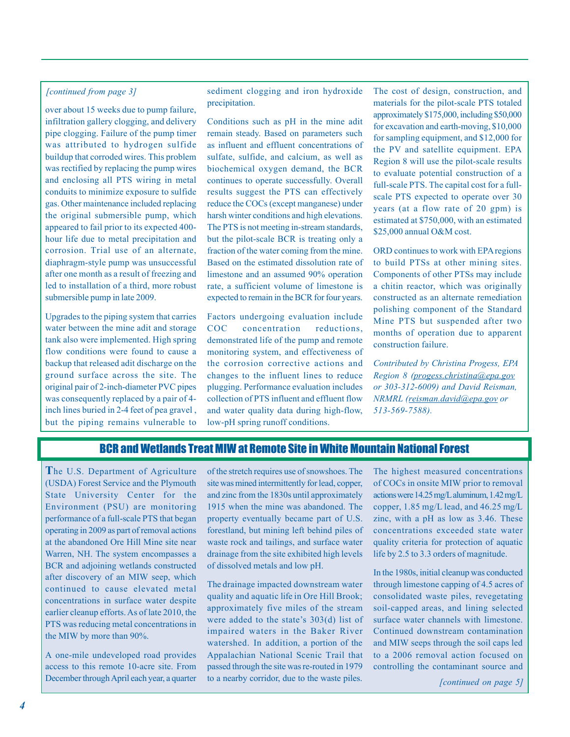#### *[continued from page 3]*

over about 15 weeks due to pump failure, infiltration gallery clogging, and delivery pipe clogging. Failure of the pump timer was attributed to hydrogen sulfide buildup that corroded wires. This problem was rectified by replacing the pump wires and enclosing all PTS wiring in metal conduits to minimize exposure to sulfide gas. Other maintenance included replacing the original submersible pump, which appeared to fail prior to its expected 400 hour life due to metal precipitation and corrosion. Trial use of an alternate, diaphragm-style pump was unsuccessful after one month as a result of freezing and led to installation of a third, more robust submersible pump in late 2009.

Upgrades to the piping system that carries water between the mine adit and storage tank also were implemented. High spring flow conditions were found to cause a backup that released adit discharge on the ground surface across the site. The original pair of 2-inch-diameter PVC pipes was consequently replaced by a pair of 4 inch lines buried in 2-4 feet of pea gravel , but the piping remains vulnerable to sediment clogging and iron hydroxide precipitation.

Conditions such as pH in the mine adit remain steady. Based on parameters such as influent and effluent concentrations of sulfate, sulfide, and calcium, as well as biochemical oxygen demand, the BCR continues to operate successfully. Overall results suggest the PTS can effectively reduce the COCs (except manganese) under harsh winter conditions and high elevations. The PTS is not meeting in-stream standards, but the pilot-scale BCR is treating only a fraction of the water coming from the mine. Based on the estimated dissolution rate of limestone and an assumed 90% operation rate, a sufficient volume of limestone is expected to remain in the BCR for four years.

Factors undergoing evaluation include COC concentration reductions, demonstrated life of the pump and remote monitoring system, and effectiveness of the corrosion corrective actions and changes to the influent lines to reduce plugging. Performance evaluation includes collection of PTS influent and effluent flow and water quality data during high-flow, low-pH spring runoff conditions.

The cost of design, construction, and materials for the pilot-scale PTS totaled approximately \$175,000, including \$50,000 for excavation and earth-moving, \$10,000 for sampling equipment, and \$12,000 for the PV and satellite equipment. EPA Region 8 will use the pilot-scale results to evaluate potential construction of a full-scale PTS. The capital cost for a fullscale PTS expected to operate over 30 years (at a flow rate of 20 gpm) is estimated at \$750,000, with an estimated \$25,000 annual O&M cost.

ORD continues to work with EPA regions to build PTSs at other mining sites. Components of other PTSs may include a chitin reactor, which was originally constructed as an alternate remediation polishing component of the Standard Mine PTS but suspended after two months of operation due to apparent construction failure.

*Contributed by Christina Progess, EPA Region 8 ([progess.christina@epa.gov](mailto:progess.christina@epa.gov)  or 303-312-6009) and David Reisman, NRMRL ([reisman.david@epa.gov o](mailto:reisman.david@epa.gov)r 513-569-7588).* 

## BCR and Wetlands Treat MIW at Remote Site in White Mountain National Forest

**T**he U.S. Department of Agriculture (USDA) Forest Service and the Plymouth State University Center for the Environment (PSU) are monitoring performance of a full-scale PTS that began operating in 2009 as part of removal actions at the abandoned Ore Hill Mine site near Warren, NH. The system encompasses a BCR and adjoining wetlands constructed after discovery of an MIW seep, which continued to cause elevated metal concentrations in surface water despite earlier cleanup efforts. As of late 2010, the PTS was reducing metal concentrations in the MIW by more than 90%.

A one-mile undeveloped road provides access to this remote 10-acre site. From December through April each year, a quarter

of the stretch requires use of snowshoes. The site was mined intermittently for lead, copper, and zinc from the 1830s until approximately 1915 when the mine was abandoned. The property eventually became part of U.S. forestland, but mining left behind piles of waste rock and tailings, and surface water drainage from the site exhibited high levels of dissolved metals and low pH.

 watershed. In addition, a portion of the The drainage impacted downstream water quality and aquatic life in Ore Hill Brook; approximately five miles of the stream were added to the state's 303(d) list of impaired waters in the Baker River Appalachian National Scenic Trail that passed through the site was re-routed in 1979 to a nearby corridor, due to the waste piles.

The highest measured concentrations of COCs in onsite MIW prior to removal actions were 14.25 mg/L aluminum, 1.42 mg/L copper, 1.85 mg/L lead, and 46.25 mg/L zinc, with a pH as low as 3.46. These concentrations exceeded state water quality criteria for protection of aquatic life by 2.5 to 3.3 orders of magnitude.

In the 1980s, initial cleanup was conducted through limestone capping of 4.5 acres of consolidated waste piles, revegetating soil-capped areas, and lining selected surface water channels with limestone. Continued downstream contamination and MIW seeps through the soil caps led to a 2006 removal action focused on controlling the contaminant source and

*[continued on page 5]*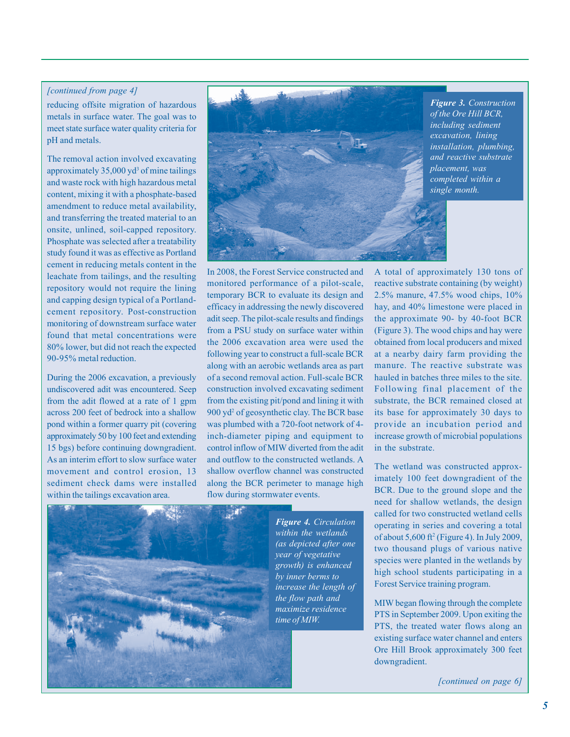#### *[continued from page 4]*

reducing offsite migration of hazardous metals in surface water. The goal was to meet state surface water quality criteria for pH and metals.

The removal action involved excavating approximately  $35,000$  yd<sup>3</sup> of mine tailings and waste rock with high hazardous metal content, mixing it with a phosphate-based amendment to reduce metal availability, and transferring the treated material to an onsite, unlined, soil-capped repository. Phosphate was selected after a treatability study found it was as effective as Portland cement in reducing metals content in the leachate from tailings, and the resulting repository would not require the lining and capping design typical of a Portlandcement repository. Post-construction monitoring of downstream surface water found that metal concentrations were 80% lower, but did not reach the expected 90-95% metal reduction.

During the 2006 excavation, a previously undiscovered adit was encountered. Seep from the adit flowed at a rate of 1 gpm across 200 feet of bedrock into a shallow pond within a former quarry pit (covering approximately 50 by 100 feet and extending 15 bgs) before continuing downgradient. As an interim effort to slow surface water movement and control erosion, 13 sediment check dams were installed within the tailings excavation area.



*Figure 3. Construction of the Ore Hill BCR, including sediment excavation, lining installation, plumbing, and reactive substrate placement, was completed within a single month.* 

In 2008, the Forest Service constructed and monitored performance of a pilot-scale, temporary BCR to evaluate its design and efficacy in addressing the newly discovered adit seep. The pilot-scale results and findings from a PSU study on surface water within the 2006 excavation area were used the following year to construct a full-scale BCR along with an aerobic wetlands area as part of a second removal action. Full-scale BCR construction involved excavating sediment from the existing pit/pond and lining it with 900 yd<sup>2</sup> of geosynthetic clay. The BCR base was plumbed with a 720-foot network of 4 inch-diameter piping and equipment to control inflow of MIW diverted from the adit and outflow to the constructed wetlands. A shallow overflow channel was constructed along the BCR perimeter to manage high flow during stormwater events.



*Figure 4. Circulation within the wetlands (as depicted after one year of vegetative growth) is enhanced by inner berms to increase the length of the flow path and maximize residence time of MIW.* 

A total of approximately 130 tons of reactive substrate containing (by weight) 2.5% manure, 47.5% wood chips, 10% hay, and 40% limestone were placed in the approximate 90- by 40-foot BCR (Figure 3). The wood chips and hay were obtained from local producers and mixed at a nearby dairy farm providing the manure. The reactive substrate was hauled in batches three miles to the site. Following final placement of the substrate, the BCR remained closed at its base for approximately 30 days to provide an incubation period and increase growth of microbial populations in the substrate.

The wetland was constructed approximately 100 feet downgradient of the BCR. Due to the ground slope and the need for shallow wetlands, the design called for two constructed wetland cells operating in series and covering a total of about 5,600 ft2 (Figure 4). In July 2009, two thousand plugs of various native species were planted in the wetlands by high school students participating in a Forest Service training program.

MIW began flowing through the complete PTS in September 2009. Upon exiting the PTS, the treated water flows along an existing surface water channel and enters Ore Hill Brook approximately 300 feet downgradient.

*[continued on page 6]*